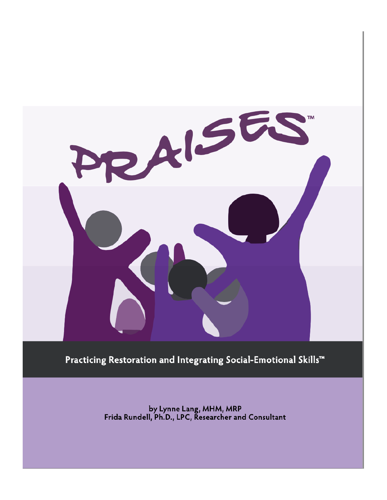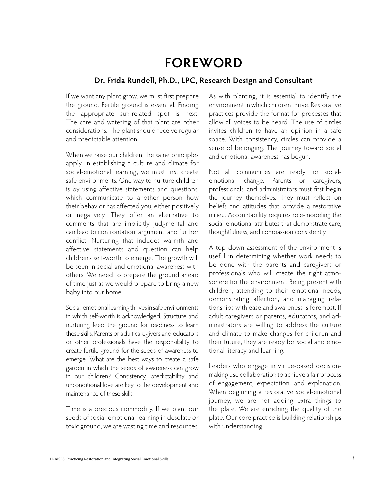## **FOREWORD**

## **Dr. Frida Rundell, Ph.D., LPC, Research Design and Consultant**

If we want any plant grow, we must first prepare the ground. Fertile ground is essential. Finding the appropriate sun-related spot is next. The care and watering of that plant are other considerations. The plant should receive regular and predictable attention.

When we raise our children, the same principles apply. In establishing a culture and climate for social-emotional learning, we must first create safe environments. One way to nurture children is by using affective statements and questions, which communicate to another person how their behavior has affected you, either positively or negatively. They offer an alternative to comments that are implicitly judgmental and can lead to confrontation, argument, and further conflict. Nurturing that includes warmth and affective statements and question can help children's self-worth to emerge. The growth will be seen in social and emotional awareness with others. We need to prepare the ground ahead of time just as we would prepare to bring a new baby into our home.

Social-emotional learning thrives in safe environments in which self-worth is acknowledged. Structure and nurturing feed the ground for readiness to learn these skills. Parents or adult caregivers and educators or other professionals have the responsibility to create fertile ground for the seeds of awareness to emerge. What are the best ways to create a safe garden in which the seeds of awareness can grow in our children? Consistency, predictability and unconditional love are key to the development and maintenance of these skills.

Time is a precious commodity. If we plant our seeds of social-emotional learning in desolate or toxic ground, we are wasting time and resources. As with planting, it is essential to identify the environment in which children thrive. Restorative practices provide the format for processes that allow all voices to be heard. The use of circles invites children to have an opinion in a safe space. With consistency, circles can provide a sense of belonging. The journey toward social and emotional awareness has begun.

Not all communities are ready for socialemotional change. Parents or caregivers, professionals, and administrators must first begin the journey themselves. They must reflect on beliefs and attitudes that provide a restorative milieu. Accountability requires role-modeling the social-emotional attributes that demonstrate care, thoughtfulness, and compassion consistently.

A top-down assessment of the environment is useful in determining whether work needs to be done with the parents and caregivers or professionals who will create the right atmosphere for the environment. Being present with children, attending to their emotional needs, demonstrating affection, and managing relationships with ease and awareness is foremost. If adult caregivers or parents, educators, and administrators are willing to address the culture and climate to make changes for children and their future, they are ready for social and emotional literacy and learning.

Leaders who engage in virtue-based decisionmaking use collaboration to achieve a fair process of engagement, expectation, and explanation. When beginning a restorative social-emotional journey, we are not adding extra things to the plate. We are enriching the quality of the plate. Our core practice is building relationships with understanding.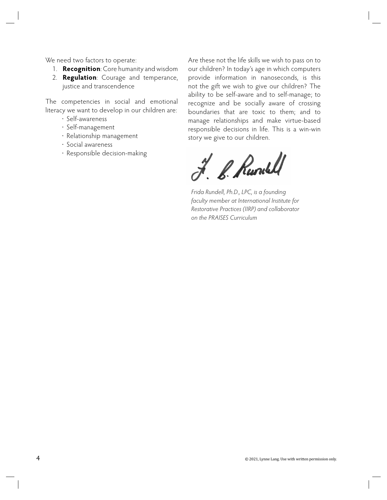We need two factors to operate:

- 1. **Recognition**: Core humanity and wisdom
- 2. **Regulation**: Courage and temperance, justice and transcendence

The competencies in social and emotional literacy we want to develop in our children are:

- · Self-awareness
- · Self-management
- · Relationship management
- · Social awareness
- · Responsible decision-making

Are these not the life skills we wish to pass on to our children? In today's age in which computers provide information in nanoseconds, is this not the gift we wish to give our children? The ability to be self-aware and to self-manage; to recognize and be socially aware of crossing boundaries that are toxic to them; and to manage relationships and make virtue-based responsible decisions in life. This is a win-win story we give to our children.

J. B. Runslel

*Frida Rundell, Ph.D., LPC, is a founding faculty member at International Institute for Restorative Practices (IIRP) and collaborator on the PRAISES Curriculum*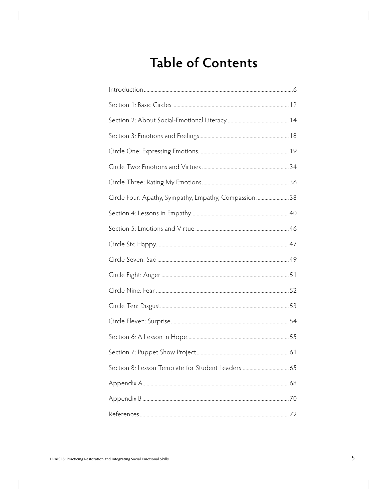## **Table of Contents**

| Circle Four: Apathy, Sympathy, Empathy, Compassion  38 |  |
|--------------------------------------------------------|--|
|                                                        |  |
|                                                        |  |
|                                                        |  |
|                                                        |  |
|                                                        |  |
|                                                        |  |
|                                                        |  |
|                                                        |  |
|                                                        |  |
|                                                        |  |
| Section 8: Lesson Template for Student Leaders 65      |  |
|                                                        |  |
|                                                        |  |
|                                                        |  |